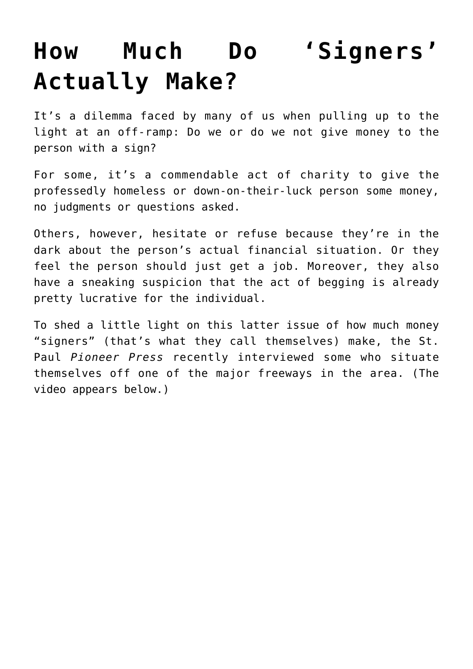## **[How Much Do 'Signers'](https://intellectualtakeout.org/2016/07/how-much-do-signers-actually-make/) [Actually Make?](https://intellectualtakeout.org/2016/07/how-much-do-signers-actually-make/)**

It's a dilemma faced by many of us when pulling up to the light at an off-ramp: Do we or do we not give money to the person with a sign?

For some, it's a commendable act of charity to give the professedly homeless or down-on-their-luck person some money, no judgments or questions asked.

Others, however, hesitate or refuse because they're in the dark about the person's actual financial situation. Or they feel the person should just get a job. Moreover, they also have a sneaking suspicion that the act of begging is already pretty lucrative for the individual.

To shed a little light on this latter issue of how much money "signers" (that's what they call themselves) make, the St. Paul *Pioneer Press* recently interviewed some who situate themselves off one of the major freeways in the area. (The video appears below.)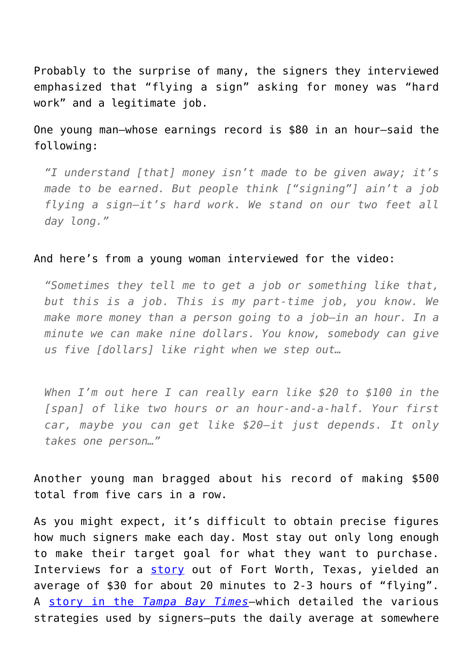Probably to the surprise of many, the signers they interviewed emphasized that "flying a sign" asking for money was "hard work" and a legitimate job.

One young man—whose earnings record is \$80 in an hour—said the following:

*"I understand [that] money isn't made to be given away; it's made to be earned. But people think ["signing"] ain't a job flying a sign—it's hard work. We stand on our two feet all day long."*

## And here's from a young woman interviewed for the video:

*"Sometimes they tell me to get a job or something like that, but this is a job. This is my part-time job, you know. We make more money than a person going to a job—in an hour. In a minute we can make nine dollars. You know, somebody can give us five [dollars] like right when we step out…*

*When I'm out here I can really earn like \$20 to \$100 in the [span] of like two hours or an hour-and-a-half. Your first car, maybe you can get like \$20—it just depends. It only takes one person…"*

Another young man bragged about his record of making \$500 total from five cars in a row.

As you might expect, it's difficult to obtain precise figures how much signers make each day. Most stay out only long enough to make their target goal for what they want to purchase. Interviews for a [story](http://www.fwtx.com/articles/flying-signs) out of Fort Worth, Texas, yielded an average of \$30 for about 20 minutes to 2-3 hours of "flying". A [story in the](http://www.tampabay.com/features/humaninterest/panhandlers-have-many-strategies-for-getting-peoples-sympathy-in-order-to/1015963) *[Tampa Bay Times](http://www.tampabay.com/features/humaninterest/panhandlers-have-many-strategies-for-getting-peoples-sympathy-in-order-to/1015963)*—which detailed the various strategies used by signers—puts the daily average at somewhere